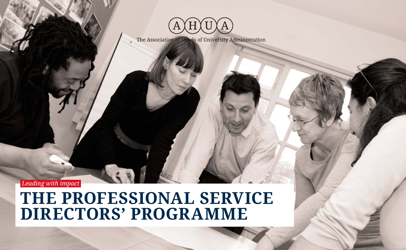

The Association of Heads of University Administration

 *Leading with impact* 

# **THE PROFESSIONAL SERVICE DIRECTORS' PROGRAMME**

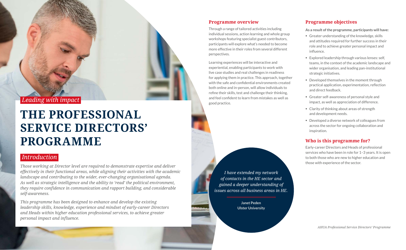

 *Leading with impact* 

# **THE PROFESSIONAL SERVICE DIRECTORS' PROGRAMME**

# *Introduction*

*Those working at Director level are required to demonstrate expertise and deliver effectively in their functional areas, while aligning their activities with the academic landscape and contributing to the wider, ever-changing organisational agenda. As well as strategic intelligence and the ability to 'read' the political environment, they require confidence in communication and rapport building, and considerable self-awareness.* 

*This programme has been designed to enhance and develop the existing leadership skills, knowledge, experience and mindset of early-career Directors and Heads within higher education professional services, to achieve greater personal impact and influence.*

#### **Programme overview**

Through a range of tailored activities including individual sessions, action learning and whole group workshops featuring specialist guest contributors, participants will explore what's needed to become more effective in their roles from several different perspectives.

- Greater understanding of the knowledge, skills and attitudes required for further success in their role and to achieve greater personal impact and influence.
- **Explored leadership through various lenses: self,** teams, in the context of the academic landscape and wider organisation, and leading pan-institutional strategic initiatives.
- Developed themselves in the moment through practical application, experimentation, reflection and direct feedback.
- Greater self-awareness of personal style and impact, as well as appreciation of difference.
- Clarity of thinking about areas of strength and development needs.
- Developed a diverse network of colleagues from across the sector for ongoing collaboration and inspiration.

Learning experiences will be interactive and experiential, enabling participants to work with live case studies and real challenges in readiness for applying them in practice. This approach, together with the safe and confidential environments created both online and in-person, will allow individuals to refine their skills, test and challenge their thinking, and feel confident to learn from mistakes as well as good practice.

# **Programme objectives**

**As a result of the programme, participants will have:**

# **Who is this programme for?**

Early-career Directors and Heads of professional services who have been in role for 1–3 years. It is open to both those who are new to higher education and those with experience of the sector.

*I have extended my network of contacts in the HE sector and gained a deeper understanding of issues across all business areas in HE.* 

> **Janet Peden Ulster University**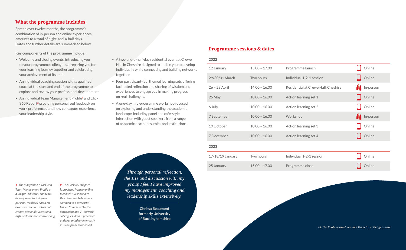| 2022             |                 |                                     |                     |
|------------------|-----------------|-------------------------------------|---------------------|
| 12 January       | $15.00 - 17.00$ | Programme launch                    | Online              |
| 29/30/31 March   | Two hours       | Individual 1-2-1 session            | Online              |
| 26 - 28 April    | $14.00 - 16.00$ | Residential at Crewe Hall, Cheshire | <b>M</b> In-person  |
| 25 May           | $10.00 - 16.00$ | Action learning set 1               | Online              |
| 6 July           | $10.00 - 16.00$ | Action learning set 2               | Online              |
| 7 September      | $10.00 - 16.00$ | Workshop                            | <b>AL</b> In-person |
| 19 October       | $10.00 - 16.00$ | Action learning set 3               | Online              |
| 7 December       | $10.00 - 16.00$ | Action learning set 4               | Online              |
| 2023             |                 |                                     |                     |
| 17/18/19 January | Two hours       | Individual 1-2-1 session            | Online              |
| 25 January       | $15.00 - 17.00$ | Programme close                     | Online              |

#### **What the programme includes**

Spread over twelve months, the programme's combination of in-person and online experiences amounts to a total of eight-and-a-half days. Dates and further details are summarised below.

#### **Key components of the programme include:**

#### *1 The Margerison & McCann Team Management Profile is a unique individual and team development tool. It gives personal feedback based on extensive research into what creates personal success and high-performance teamworking.*

- Welcome and closing events, introducing you to your programme colleagues, preparing you for your learning journey together and celebrating your achievement at its end.
- An individual coaching session with a qualified coach at the start and end of the programme to explore and review your professional development.
- An individual Team Management Profile**1** and Click 360 Report**2** providing personalised feedback on work preferences and how colleagues experience your leadership style.
- A two-and-a-half-day residential event at Crewe Hall in Cheshire designed to enable you to develop individually while connecting and building networks together.
- Four participant-led, themed learning sets offering facilitated reflection and sharing of wisdom and experiences to engage you in making progress on real challenges.
- A one-day mid-programme workshop focused on exploring and understanding the academic landscape, including panel and café-style interaction with guest speakers from a range of academic disciplines, roles and institutions.

*2 The Click 360 Report is produced from an online feedback questionnaire that describes behaviours common to a successful leader. Completed by the participant and 7–10 work colleagues, data is processed and presented anonymously in a comprehensive report.* 

### **Programme sessions & dates**

*Through personal reflection, the 1:1s and discussion with my group I feel I have improved my management, coaching and leadership skills extensively.* 

> **Chrissa Beaumont formerly University of Buckinghamshire**

> > *AHUA Professional Service Directors' Programme*